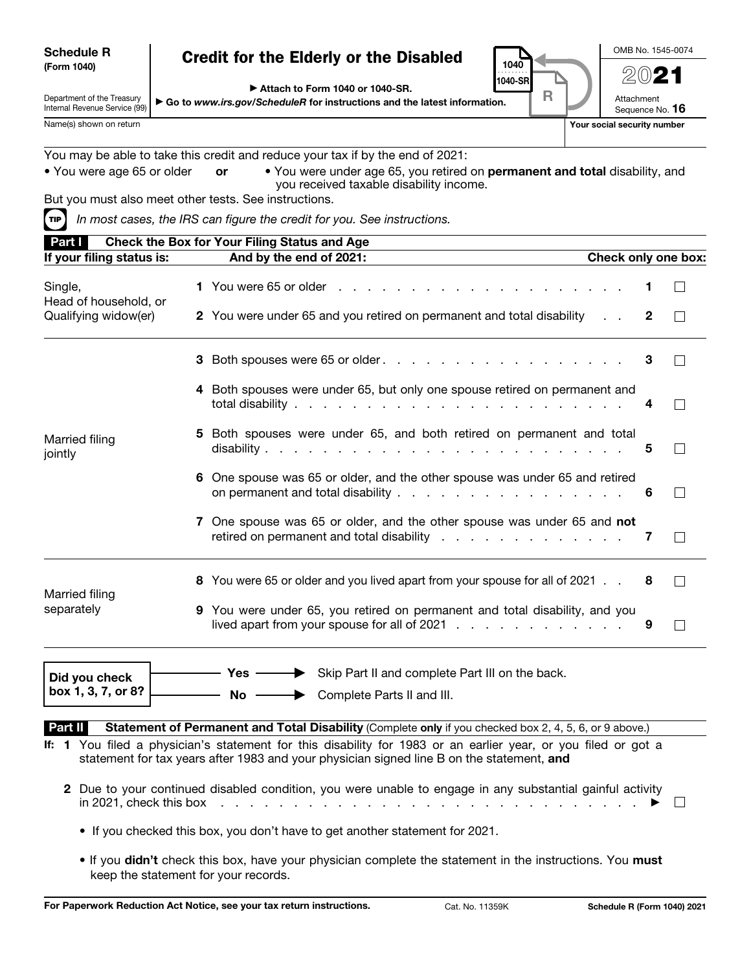| <b>Schedule R</b> |  |
|-------------------|--|
| (Form 1040)       |  |

#### Credit for the Elderly or the Disabled

▶ Attach to Form 1040 or 1040-SR.

▶ Go to *www.irs.gov/ScheduleR* for instructions and the latest information.

OMB No. 1545-0074

2021

Attachment

Internal Revenue Service (99)

Department of the Treasury

Sequence No. 16

1040 1040-SR . . <del>. . . . .</del> .

R

| Name(s) shown on return          |                                                                                                                                                                | Your social security number |
|----------------------------------|----------------------------------------------------------------------------------------------------------------------------------------------------------------|-----------------------------|
|                                  | You may be able to take this credit and reduce your tax if by the end of 2021:                                                                                 |                             |
| • You were age 65 or older       | . You were under age 65, you retired on permanent and total disability, and<br>or<br>you received taxable disability income.                                   |                             |
|                                  | But you must also meet other tests. See instructions.                                                                                                          |                             |
| TIP                              | In most cases, the IRS can figure the credit for you. See instructions.                                                                                        |                             |
| Part I                           | Check the Box for Your Filing Status and Age                                                                                                                   |                             |
| If your filing status is:        | And by the end of 2021:                                                                                                                                        | Check only one box:         |
| Single,<br>Head of household, or |                                                                                                                                                                |                             |
| Qualifying widow(er)             | 2 You were under 65 and you retired on permanent and total disability                                                                                          | 2                           |
|                                  |                                                                                                                                                                | 3                           |
|                                  | 4 Both spouses were under 65, but only one spouse retired on permanent and                                                                                     | 4                           |
| Married filing<br>jointly        | 5 Both spouses were under 65, and both retired on permanent and total                                                                                          | 5                           |
|                                  | 6 One spouse was 65 or older, and the other spouse was under 65 and retired<br>on permanent and total disability                                               | 6                           |
|                                  | 7 One spouse was 65 or older, and the other spouse was under 65 and not<br>retired on permanent and total disability $\ldots$ , $\ldots$ , $\ldots$ , $\ldots$ | 7<br>$\Box$                 |
| Married filing                   | 8 You were 65 or older and you lived apart from your spouse for all of 2021                                                                                    | 8                           |
| separately                       | 9 You were under 65, you retired on permanent and total disability, and you<br>lived apart from your spouse for all of 2021 $\ldots$                           | 9<br>$\vert \ \ \vert$      |
| Did you check                    | Skip Part II and complete Part III on the back.<br>Yes -                                                                                                       |                             |
| box 1, 3, 7, or 8?               | $No -$<br>Complete Parts II and III.                                                                                                                           |                             |

Part II Statement of Permanent and Total Disability (Complete only if you checked box 2, 4, 5, 6, or 9 above.)

- If: 1 You filed a physician's statement for this disability for 1983 or an earlier year, or you filed or got a statement for tax years after 1983 and your physician signed line B on the statement, and
	- 2 Due to your continued disabled condition, you were unable to engage in any substantial gainful activity in 2021, check this box . . . . . . . . . . . . . . . . . . . . . . . . . . . . . ▶  $\Box$ 
		- If you checked this box, you don't have to get another statement for 2021.
		- If you didn't check this box, have your physician complete the statement in the instructions. You must keep the statement for your records.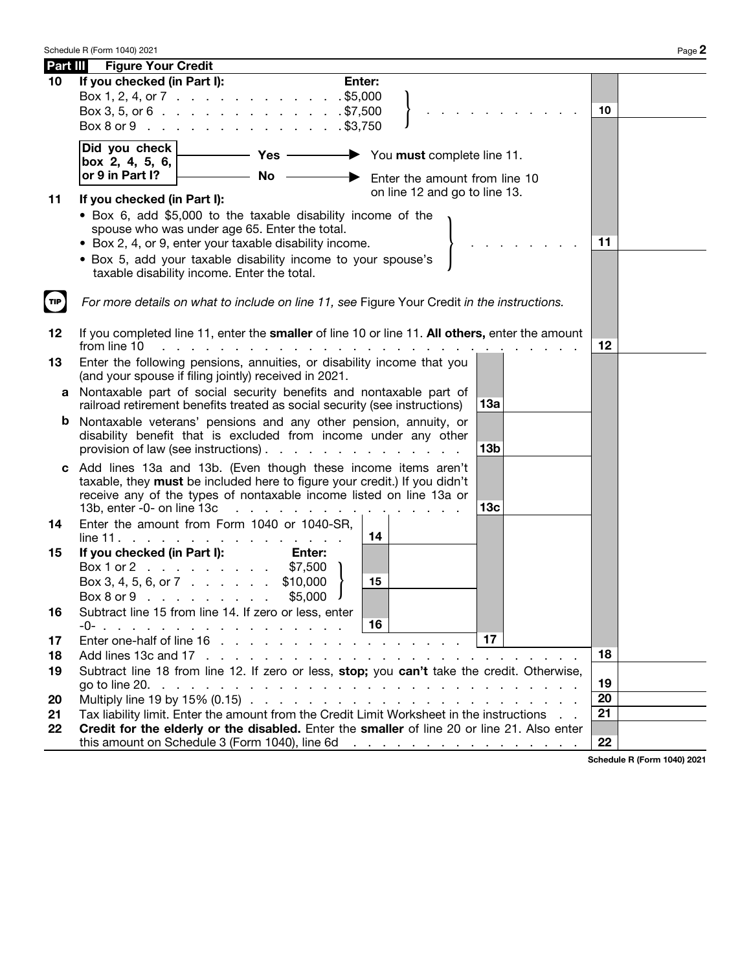| Part III | <b>Figure Your Credit</b>                                                                                                                                                                |          |                             |
|----------|------------------------------------------------------------------------------------------------------------------------------------------------------------------------------------------|----------|-----------------------------|
| 10       | If you checked (in Part I):<br>Enter:                                                                                                                                                    |          |                             |
|          | Box 1, 2, 4, or 7 \$5,000                                                                                                                                                                |          |                             |
|          | Box 3, 5, or 6 $\cdot \cdot \cdot \cdot \cdot \cdot \cdot \cdot \cdot \cdot \cdot \cdot \cdot \cdot \cdot \cdot \cdot$ \$7,500                                                           | 10       |                             |
|          | Box 8 or 9 \$3,750                                                                                                                                                                       |          |                             |
|          | Did you check<br>$-$ Yes $-$<br>$\rightarrow$ You must complete line 11.                                                                                                                 |          |                             |
|          | box 2, 4, 5, 6, $\boxed{ }$<br>or 9 in Part I?<br><b>No</b>                                                                                                                              |          |                             |
|          | Enter the amount from line 10<br>on line 12 and go to line 13.                                                                                                                           |          |                             |
| 11       | If you checked (in Part I):                                                                                                                                                              |          |                             |
|          | • Box 6, add \$5,000 to the taxable disability income of the                                                                                                                             |          |                             |
|          | spouse who was under age 65. Enter the total.<br>• Box 2, 4, or 9, enter your taxable disability income.                                                                                 | 11       |                             |
|          | . Box 5, add your taxable disability income to your spouse's                                                                                                                             |          |                             |
|          | taxable disability income. Enter the total.                                                                                                                                              |          |                             |
|          |                                                                                                                                                                                          |          |                             |
| TIP      | For more details on what to include on line 11, see Figure Your Credit in the instructions.                                                                                              |          |                             |
|          |                                                                                                                                                                                          |          |                             |
| 12       | If you completed line 11, enter the smaller of line 10 or line 11. All others, enter the amount<br>from line 10                                                                          | 12       |                             |
| 13       | Enter the following pensions, annuities, or disability income that you                                                                                                                   |          |                             |
|          | (and your spouse if filing jointly) received in 2021.                                                                                                                                    |          |                             |
| a        | Nontaxable part of social security benefits and nontaxable part of                                                                                                                       |          |                             |
|          | 13а<br>railroad retirement benefits treated as social security (see instructions)                                                                                                        |          |                             |
| b        | Nontaxable veterans' pensions and any other pension, annuity, or<br>disability benefit that is excluded from income under any other                                                      |          |                             |
|          | 13 <sub>b</sub><br>provision of law (see instructions).                                                                                                                                  |          |                             |
|          | c Add lines 13a and 13b. (Even though these income items aren't                                                                                                                          |          |                             |
|          | taxable, they must be included here to figure your credit.) If you didn't                                                                                                                |          |                             |
|          | receive any of the types of nontaxable income listed on line 13a or                                                                                                                      |          |                             |
|          | 13 <sub>c</sub><br>13b, enter -0- on line 13c<br>Enter the amount from Form 1040 or 1040-SR,                                                                                             |          |                             |
| 14       | 14<br>line 11.<br>and a state of the state of the state of the state of the state of the state of the state of the state of the                                                          |          |                             |
| 15       | If you checked (in Part I):<br>Enter:                                                                                                                                                    |          |                             |
|          | Box 1 or 2<br>\$7,500                                                                                                                                                                    |          |                             |
|          | Box 3, 4, 5, 6, or 7 $\ldots$<br>\$10,000<br>15                                                                                                                                          |          |                             |
|          | \$5,000<br>$Box 8$ or $9 \cdot \cdot \cdot \cdot \cdot \cdot \cdot$                                                                                                                      |          |                             |
| 16       | Subtract line 15 from line 14. If zero or less, enter<br>16<br>-0-                                                                                                                       |          |                             |
| 17       | 17                                                                                                                                                                                       |          |                             |
| 18       |                                                                                                                                                                                          | 18       |                             |
| 19       | Subtract line 18 from line 12. If zero or less, stop; you can't take the credit. Otherwise,                                                                                              |          |                             |
|          |                                                                                                                                                                                          | 19       |                             |
| 20       |                                                                                                                                                                                          | 20<br>21 |                             |
| 21<br>22 | Tax liability limit. Enter the amount from the Credit Limit Worksheet in the instructions<br>Credit for the elderly or the disabled. Enter the smaller of line 20 or line 21. Also enter |          |                             |
|          |                                                                                                                                                                                          | 22       |                             |
|          |                                                                                                                                                                                          |          | Schodule D (Form 1040) 2021 |

Schedule R (Form 1040) 2021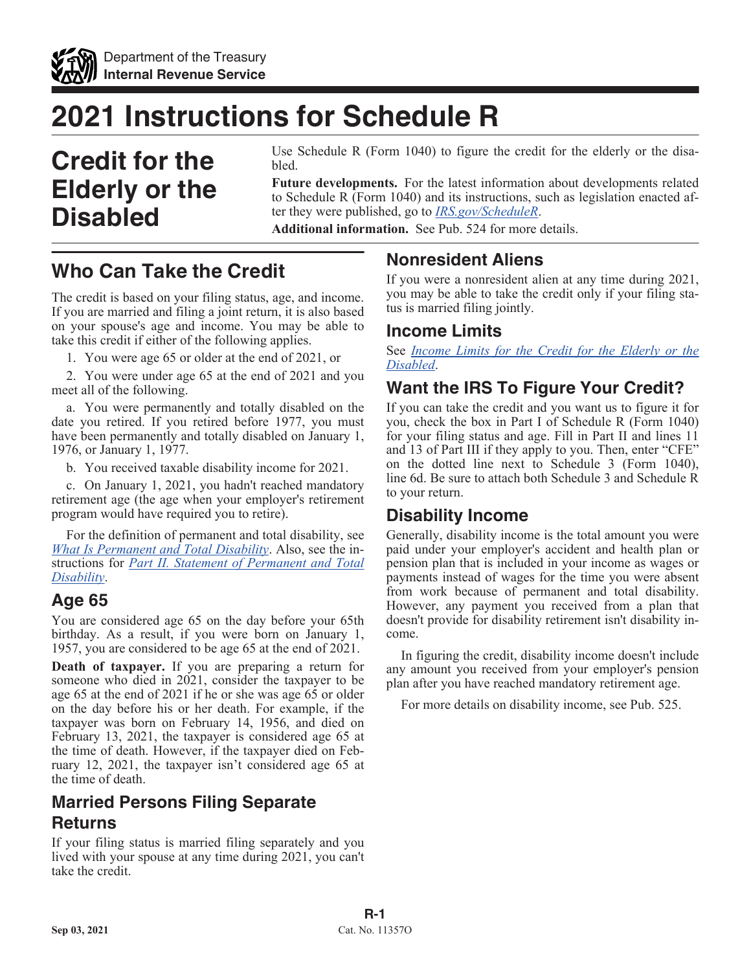

# **2021 Instructions for Schedule R**

# **Credit for the Elderly or the Disabled**

Use Schedule R (Form 1040) to figure the credit for the elderly or the disabled.

**Future developments.** For the latest information about developments related to Schedule R (Form 1040) and its instructions, such as legislation enacted after they were published, go to *[IRS.gov/ScheduleR](https://www.irs.gov/scheduler)*.

**Additional information.** See Pub. 524 for more details.

# **Who Can Take the Credit**

The credit is based on your filing status, age, and income. If you are married and filing a joint return, it is also based on your spouse's age and income. You may be able to take this credit if either of the following applies.

1. You were age 65 or older at the end of 2021, or

2. You were under age 65 at the end of 2021 and you meet all of the following.

a. You were permanently and totally disabled on the date you retired. If you retired before 1977, you must have been permanently and totally disabled on January 1, 1976, or January 1, 1977.

b. You received taxable disability income for 2021.

c. On January 1, 2021, you hadn't reached mandatory retirement age (the age when your employer's retirement program would have required you to retire).

For the definition of permanent and total disability, see *What Is Permanent and Total Disability*. Also, see the instructions for *Part II. Statement of Permanent and Total Disability*.

#### **Age 65**

You are considered age 65 on the day before your 65th birthday. As a result, if you were born on January 1, 1957, you are considered to be age 65 at the end of 2021.

**Death of taxpayer.** If you are preparing a return for someone who died in 2021, consider the taxpayer to be age 65 at the end of 2021 if he or she was age 65 or older on the day before his or her death. For example, if the taxpayer was born on February 14, 1956, and died on February 13, 2021, the taxpayer is considered age 65 at the time of death. However, if the taxpayer died on February 12, 2021, the taxpayer isn't considered age 65 at the time of death.

### **Married Persons Filing Separate Returns**

If your filing status is married filing separately and you lived with your spouse at any time during 2021, you can't take the credit.

#### **Nonresident Aliens**

If you were a nonresident alien at any time during 2021, you may be able to take the credit only if your filing status is married filing jointly.

#### **Income Limits**

See *Income Limits for the Credit for the Elderly or the Disabled*.

### **Want the IRS To Figure Your Credit?**

If you can take the credit and you want us to figure it for you, check the box in Part I of Schedule R (Form 1040) for your filing status and age. Fill in Part II and lines 11 and 13 of Part III if they apply to you. Then, enter "CFE" on the dotted line next to Schedule 3 (Form 1040), line 6d. Be sure to attach both Schedule 3 and Schedule R to your return.

#### **Disability Income**

Generally, disability income is the total amount you were paid under your employer's accident and health plan or pension plan that is included in your income as wages or payments instead of wages for the time you were absent from work because of permanent and total disability. However, any payment you received from a plan that doesn't provide for disability retirement isn't disability income.

In figuring the credit, disability income doesn't include any amount you received from your employer's pension plan after you have reached mandatory retirement age.

For more details on disability income, see Pub. 525.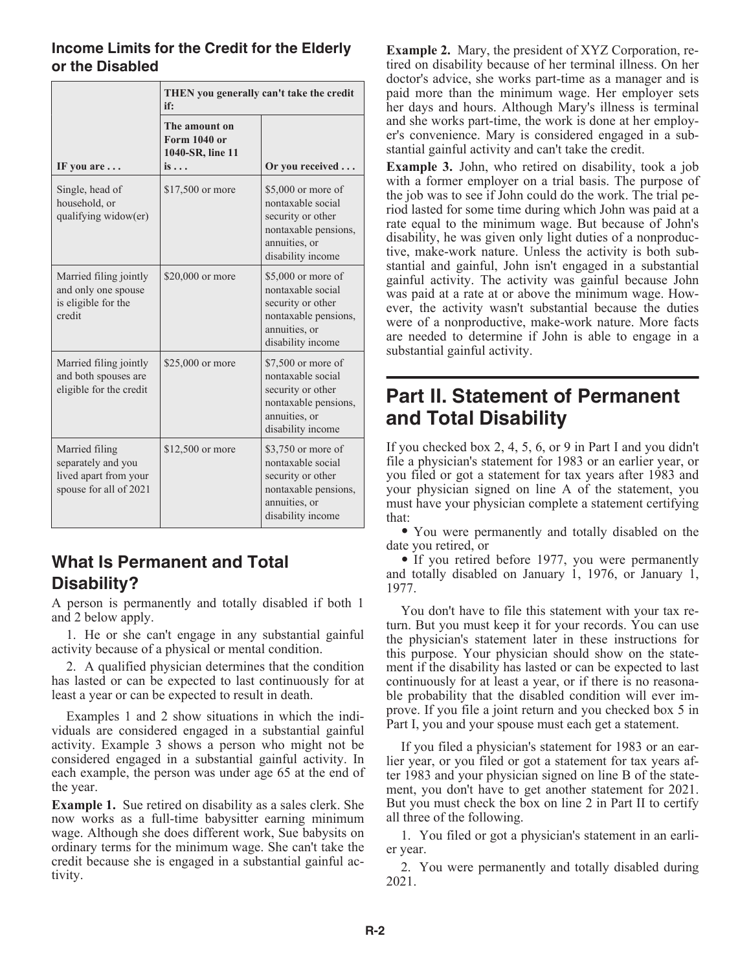#### **Income Limits for the Credit for the Elderly or the Disabled**

|                                                                                         | THEN you generally can't take the credit<br>if:                         |                                                                                                                            |
|-----------------------------------------------------------------------------------------|-------------------------------------------------------------------------|----------------------------------------------------------------------------------------------------------------------------|
| IF you are                                                                              | The amount on<br><b>Form 1040 or</b><br>1040-SR, line 11<br>is $\ldots$ | Or you received                                                                                                            |
| Single, head of<br>household, or<br>qualifying widow(er)                                | \$17,500 or more                                                        | \$5,000 or more of<br>nontaxable social<br>security or other<br>nontaxable pensions,<br>annuities, or<br>disability income |
| Married filing jointly<br>and only one spouse<br>is eligible for the<br>credit          | \$20,000 or more                                                        | \$5,000 or more of<br>nontaxable social<br>security or other<br>nontaxable pensions,<br>annuities, or<br>disability income |
| Married filing jointly<br>and both spouses are<br>eligible for the credit               | \$25,000 or more                                                        | \$7,500 or more of<br>nontaxable social<br>security or other<br>nontaxable pensions,<br>annuities, or<br>disability income |
| Married filing<br>separately and you<br>lived apart from your<br>spouse for all of 2021 | \$12,500 or more                                                        | \$3,750 or more of<br>nontaxable social<br>security or other<br>nontaxable pensions,<br>annuities, or<br>disability income |

### **What Is Permanent and Total Disability?**

A person is permanently and totally disabled if both 1 and 2 below apply.

1. He or she can't engage in any substantial gainful activity because of a physical or mental condition.

2. A qualified physician determines that the condition has lasted or can be expected to last continuously for at least a year or can be expected to result in death.

Examples 1 and 2 show situations in which the individuals are considered engaged in a substantial gainful activity. Example 3 shows a person who might not be considered engaged in a substantial gainful activity. In each example, the person was under age 65 at the end of the year.

**Example 1.** Sue retired on disability as a sales clerk. She now works as a full-time babysitter earning minimum wage. Although she does different work, Sue babysits on ordinary terms for the minimum wage. She can't take the credit because she is engaged in a substantial gainful activity.

**Example 2.** Mary, the president of XYZ Corporation, retired on disability because of her terminal illness. On her doctor's advice, she works part-time as a manager and is paid more than the minimum wage. Her employer sets her days and hours. Although Mary's illness is terminal and she works part-time, the work is done at her employer's convenience. Mary is considered engaged in a substantial gainful activity and can't take the credit.

**Example 3.** John, who retired on disability, took a job with a former employer on a trial basis. The purpose of the job was to see if John could do the work. The trial period lasted for some time during which John was paid at a rate equal to the minimum wage. But because of John's disability, he was given only light duties of a nonproductive, make-work nature. Unless the activity is both substantial and gainful, John isn't engaged in a substantial gainful activity. The activity was gainful because John was paid at a rate at or above the minimum wage. However, the activity wasn't substantial because the duties were of a nonproductive, make-work nature. More facts are needed to determine if John is able to engage in a substantial gainful activity.

## **Part II. Statement of Permanent and Total Disability**

If you checked box 2, 4, 5, 6, or 9 in Part I and you didn't file a physician's statement for 1983 or an earlier year, or you filed or got a statement for tax years after 1983 and your physician signed on line A of the statement, you must have your physician complete a statement certifying that:

• You were permanently and totally disabled on the date you retired, or

• If you retired before 1977, you were permanently and totally disabled on January 1, 1976, or January 1, 1977.

You don't have to file this statement with your tax return. But you must keep it for your records. You can use the physician's statement later in these instructions for this purpose. Your physician should show on the statement if the disability has lasted or can be expected to last continuously for at least a year, or if there is no reasonable probability that the disabled condition will ever improve. If you file a joint return and you checked box 5 in Part I, you and your spouse must each get a statement.

If you filed a physician's statement for 1983 or an earlier year, or you filed or got a statement for tax years after 1983 and your physician signed on line B of the statement, you don't have to get another statement for 2021. But you must check the box on line 2 in Part II to certify all three of the following.

1. You filed or got a physician's statement in an earlier year.

2. You were permanently and totally disabled during 2021.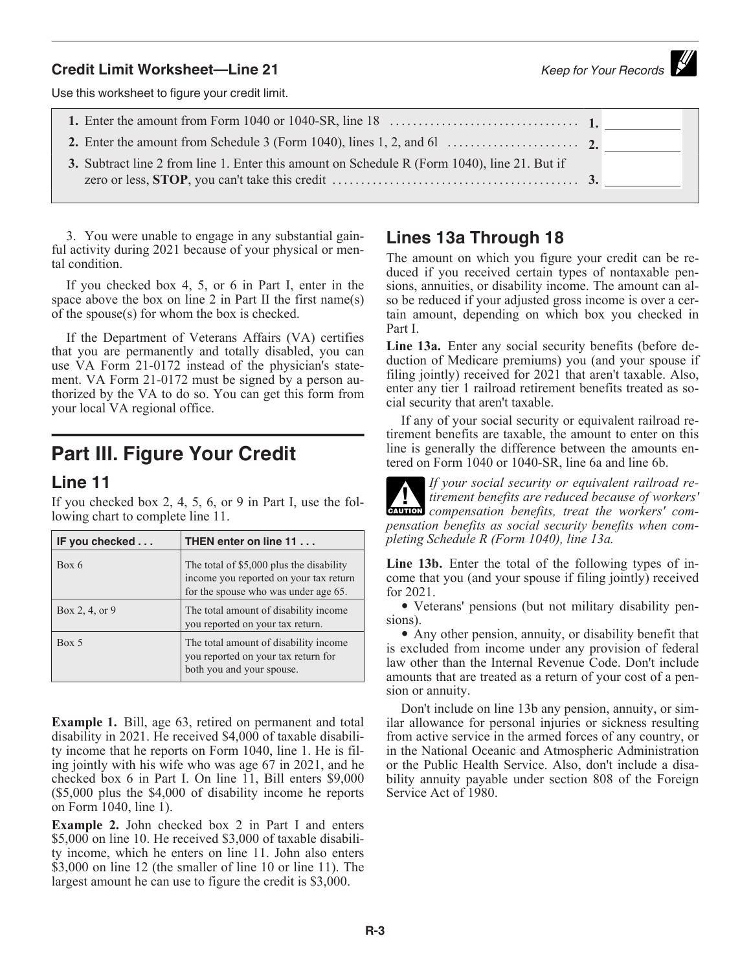# **Credit Limit Worksheet—Line 21 Credit Limit Worksheet—Line 21 Keep for Your Records**

Use this worksheet to figure your credit limit.

**1.** Enter the amount from Form 1040 or 1040-SR, line 18 ................................. **1. 2.** Enter the amount from Schedule 3 (Form 1040), lines 1, 2, and 6l ....................... **2. 3.** Subtract line 2 from line 1. Enter this amount on Schedule R (Form 1040), line 21. But if zero or less, **STOP**, you can't take this credit ........................................... **3.**

3. You were unable to engage in any substantial gainful activity during 2021 because of your physical or mental condition.

If you checked box 4, 5, or 6 in Part I, enter in the space above the box on line 2 in Part II the first name(s) of the spouse(s) for whom the box is checked.

If the Department of Veterans Affairs (VA) certifies that you are permanently and totally disabled, you can use VA Form 21-0172 instead of the physician's statement. VA Form 21-0172 must be signed by a person authorized by the VA to do so. You can get this form from your local VA regional office.

## **Part III. Figure Your Credit**

#### **Line 11**

If you checked box 2, 4, 5, 6, or 9 in Part I, use the following chart to complete line 11.

| IF you checked | THEN enter on line 11                                                                                                      |  |
|----------------|----------------------------------------------------------------------------------------------------------------------------|--|
| Box 6          | The total of \$5,000 plus the disability<br>income you reported on your tax return<br>for the spouse who was under age 65. |  |
| Box 2, 4, or 9 | The total amount of disability income<br>you reported on your tax return.                                                  |  |
| Box 5          | The total amount of disability income.<br>you reported on your tax return for<br>both you and your spouse.                 |  |

**Example 1.** Bill, age 63, retired on permanent and total disability in 2021. He received \$4,000 of taxable disability income that he reports on Form 1040, line 1. He is filing jointly with his wife who was age 67 in 2021, and he checked box 6 in Part I. On line 11, Bill enters \$9,000 (\$5,000 plus the \$4,000 of disability income he reports on Form 1040, line 1).

**Example 2.** John checked box 2 in Part I and enters \$5,000 on line 10. He received \$3,000 of taxable disability income, which he enters on line 11. John also enters \$3,000 on line 12 (the smaller of line 10 or line 11). The largest amount he can use to figure the credit is \$3,000.

#### **Lines 13a Through 18**

The amount on which you figure your credit can be reduced if you received certain types of nontaxable pensions, annuities, or disability income. The amount can also be reduced if your adjusted gross income is over a certain amount, depending on which box you checked in Part I.

**Line 13a.** Enter any social security benefits (before deduction of Medicare premiums) you (and your spouse if filing jointly) received for 2021 that aren't taxable. Also, enter any tier 1 railroad retirement benefits treated as social security that aren't taxable.

If any of your social security or equivalent railroad retirement benefits are taxable, the amount to enter on this line is generally the difference between the amounts entered on Form 1040 or 1040-SR, line 6a and line 6b.

*If your social security or equivalent railroad retirement benefits are reduced because of workers'*  **compensation benefits, treat the workers' com-**<br> **CAUTION** *compensation benefits, treat the workers' compensation benefits as social security benefits when completing Schedule R (Form 1040), line 13a.*

**Line 13b.** Enter the total of the following types of income that you (and your spouse if filing jointly) received for 2021.

• Veterans' pensions (but not military disability pensions).

• Any other pension, annuity, or disability benefit that is excluded from income under any provision of federal law other than the Internal Revenue Code. Don't include amounts that are treated as a return of your cost of a pension or annuity.

Don't include on line 13b any pension, annuity, or similar allowance for personal injuries or sickness resulting from active service in the armed forces of any country, or in the National Oceanic and Atmospheric Administration or the Public Health Service. Also, don't include a disability annuity payable under section 808 of the Foreign Service Act of 1980.